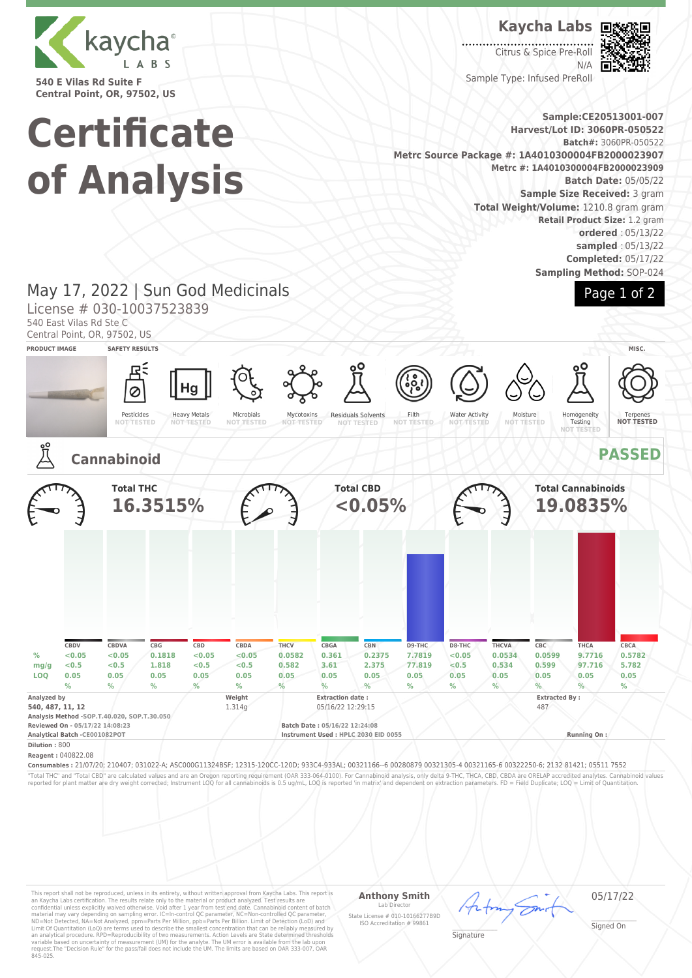

**540 E Vilas Rd Suite F Central Point, OR, 97502, US**

# **Certificate of Analysis**

**Kaycha Labs**

 $\overline{\phantom{a}}$ Citrus & Spice Pre-Roll N/A Sample Type: Infused PreRoll



Page 1 of 2

**Sample:CE20513001-007 Harvest/Lot ID: 3060PR-050522 Batch#:** 3060PR-050522 **Metrc Source Package #: 1A4010300004FB2000023907 Metrc #: 1A4010300004FB2000023909 Batch Date:** 05/05/22 **Sample Size Received:** 3 gram **Total Weight/Volume:** 1210.8 gram gram **Retail Product Size:** 1.2 gram **ordered** : 05/13/22 **sampled** : 05/13/22 **Completed:** 05/17/22 **Sampling Method:** SOP-024

# May 17, 2022 | Sun God Medicinals

License # 030-10037523839

540 East Vilas Rd Ste C

Central Point, OR, 97502, US





This report shall not be reproduced, unless in its entirety, without written approval from Kaycha Labs. This report is<br>an Kaycha Labs certification. The results relate only to the material or product analyzed. Test result

### **Anthony Smith**

Lab Director State License # 010-10166277B9D ISO Accreditation # 99861

05/17/22

\_\_\_\_\_\_\_\_\_\_\_\_\_\_\_\_\_\_\_ Signature

\_\_\_\_\_\_\_\_\_\_\_\_\_\_\_\_\_\_\_ Signed On